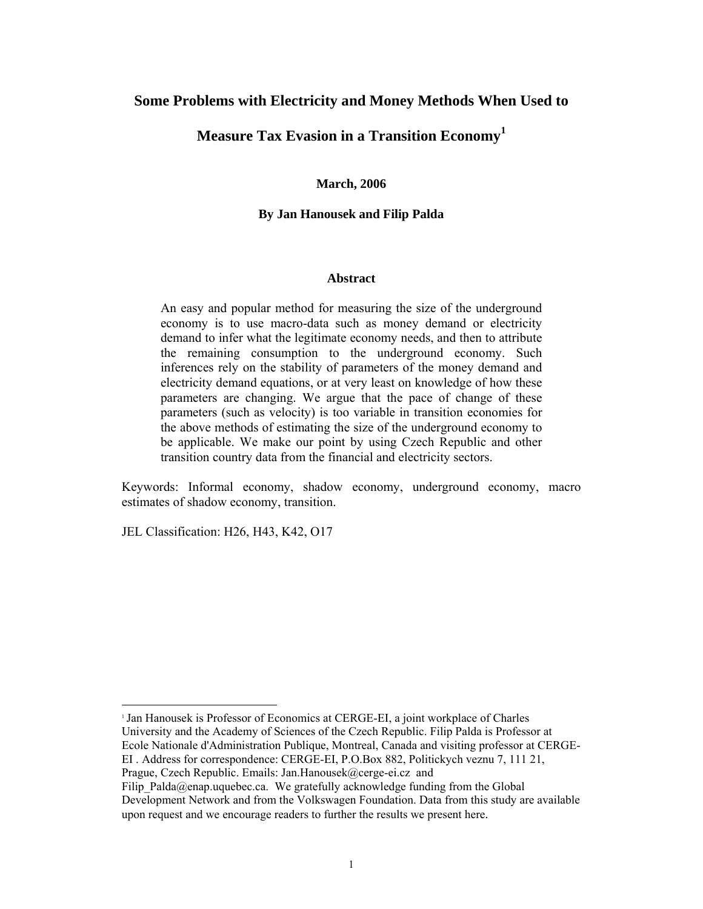### **Some Problems with Electricity and Money Methods When Used to**

## **Measure Tax Evasion in a Transition Economy<sup>1</sup>**

#### **March, 2006**

#### **By Jan Hanousek and Filip Palda**

#### **Abstract**

An easy and popular method for measuring the size of the underground economy is to use macro-data such as money demand or electricity demand to infer what the legitimate economy needs, and then to attribute the remaining consumption to the underground economy. Such inferences rely on the stability of parameters of the money demand and electricity demand equations, or at very least on knowledge of how these parameters are changing. We argue that the pace of change of these parameters (such as velocity) is too variable in transition economies for the above methods of estimating the size of the underground economy to be applicable. We make our point by using Czech Republic and other transition country data from the financial and electricity sectors.

Keywords: Informal economy, shadow economy, underground economy, macro estimates of shadow economy, transition.

JEL Classification: H26, H43, K42, O17

 $\overline{a}$ 

<sup>1</sup> Jan Hanousek is Professor of Economics at CERGE-EI, a joint workplace of Charles University and the Academy of Sciences of the Czech Republic. Filip Palda is Professor at Ecole Nationale d'Administration Publique, Montreal, Canada and visiting professor at CERGE-EI . Address for correspondence: CERGE-EI, P.O.Box 882, Politickych veznu 7, 111 21,

Prague, Czech Republic. Emails: Jan.Hanousek@cerge-ei.cz and

Filip Palda@enap.uquebec.ca. We gratefully acknowledge funding from the Global Development Network and from the Volkswagen Foundation. Data from this study are available upon request and we encourage readers to further the results we present here.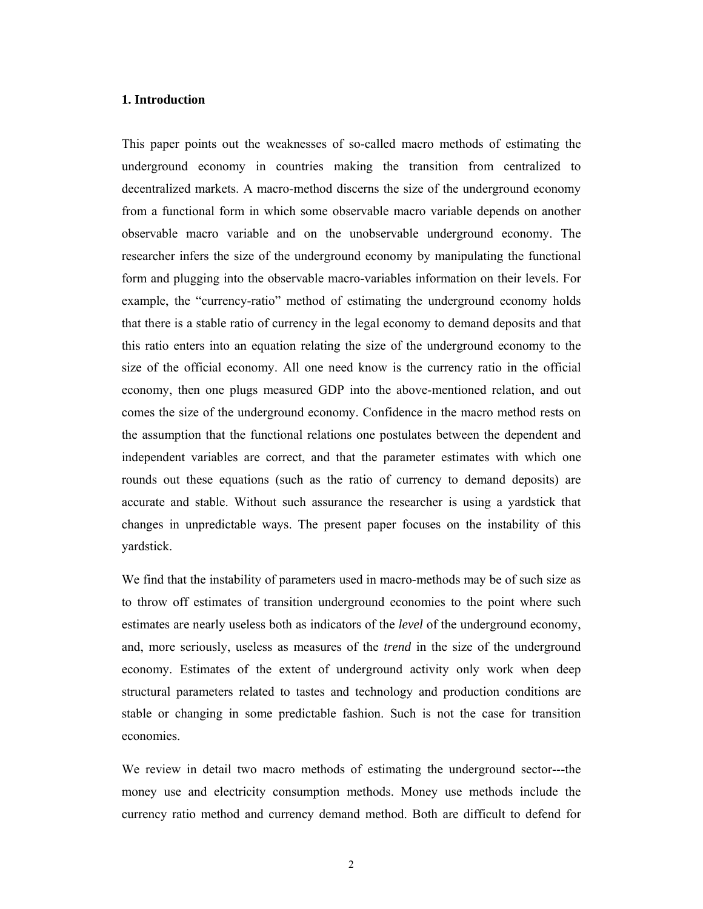#### **1. Introduction**

This paper points out the weaknesses of so-called macro methods of estimating the underground economy in countries making the transition from centralized to decentralized markets. A macro-method discerns the size of the underground economy from a functional form in which some observable macro variable depends on another observable macro variable and on the unobservable underground economy. The researcher infers the size of the underground economy by manipulating the functional form and plugging into the observable macro-variables information on their levels. For example, the "currency-ratio" method of estimating the underground economy holds that there is a stable ratio of currency in the legal economy to demand deposits and that this ratio enters into an equation relating the size of the underground economy to the size of the official economy. All one need know is the currency ratio in the official economy, then one plugs measured GDP into the above-mentioned relation, and out comes the size of the underground economy. Confidence in the macro method rests on the assumption that the functional relations one postulates between the dependent and independent variables are correct, and that the parameter estimates with which one rounds out these equations (such as the ratio of currency to demand deposits) are accurate and stable. Without such assurance the researcher is using a yardstick that changes in unpredictable ways. The present paper focuses on the instability of this yardstick.

We find that the instability of parameters used in macro-methods may be of such size as to throw off estimates of transition underground economies to the point where such estimates are nearly useless both as indicators of the *level* of the underground economy, and, more seriously, useless as measures of the *trend* in the size of the underground economy. Estimates of the extent of underground activity only work when deep structural parameters related to tastes and technology and production conditions are stable or changing in some predictable fashion. Such is not the case for transition economies.

We review in detail two macro methods of estimating the underground sector---the money use and electricity consumption methods. Money use methods include the currency ratio method and currency demand method. Both are difficult to defend for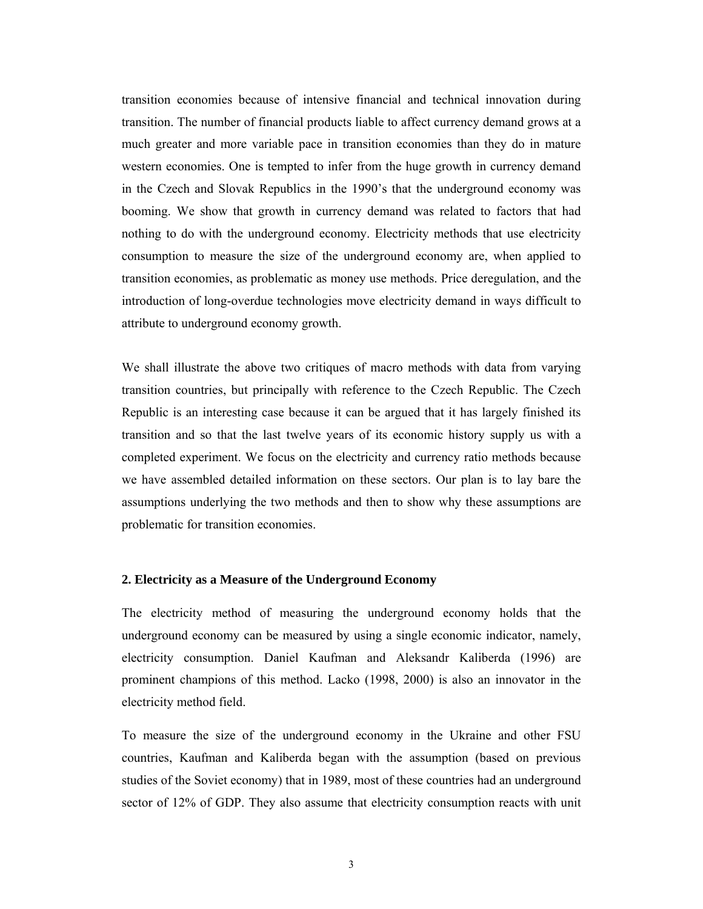transition economies because of intensive financial and technical innovation during transition. The number of financial products liable to affect currency demand grows at a much greater and more variable pace in transition economies than they do in mature western economies. One is tempted to infer from the huge growth in currency demand in the Czech and Slovak Republics in the 1990's that the underground economy was booming. We show that growth in currency demand was related to factors that had nothing to do with the underground economy. Electricity methods that use electricity consumption to measure the size of the underground economy are, when applied to transition economies, as problematic as money use methods. Price deregulation, and the introduction of long-overdue technologies move electricity demand in ways difficult to attribute to underground economy growth.

We shall illustrate the above two critiques of macro methods with data from varying transition countries, but principally with reference to the Czech Republic. The Czech Republic is an interesting case because it can be argued that it has largely finished its transition and so that the last twelve years of its economic history supply us with a completed experiment. We focus on the electricity and currency ratio methods because we have assembled detailed information on these sectors. Our plan is to lay bare the assumptions underlying the two methods and then to show why these assumptions are problematic for transition economies.

#### **2. Electricity as a Measure of the Underground Economy**

The electricity method of measuring the underground economy holds that the underground economy can be measured by using a single economic indicator, namely, electricity consumption. Daniel Kaufman and Aleksandr Kaliberda (1996) are prominent champions of this method. Lacko (1998, 2000) is also an innovator in the electricity method field.

To measure the size of the underground economy in the Ukraine and other FSU countries, Kaufman and Kaliberda began with the assumption (based on previous studies of the Soviet economy) that in 1989, most of these countries had an underground sector of 12% of GDP. They also assume that electricity consumption reacts with unit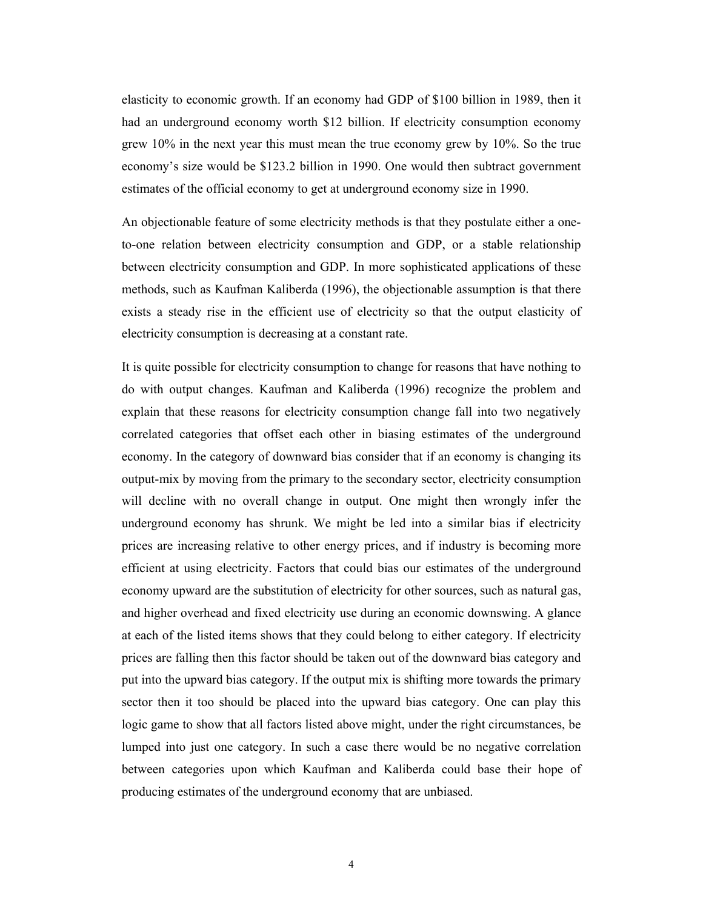elasticity to economic growth. If an economy had GDP of \$100 billion in 1989, then it had an underground economy worth \$12 billion. If electricity consumption economy grew 10% in the next year this must mean the true economy grew by 10%. So the true economy's size would be \$123.2 billion in 1990. One would then subtract government estimates of the official economy to get at underground economy size in 1990.

An objectionable feature of some electricity methods is that they postulate either a oneto-one relation between electricity consumption and GDP, or a stable relationship between electricity consumption and GDP. In more sophisticated applications of these methods, such as Kaufman Kaliberda (1996), the objectionable assumption is that there exists a steady rise in the efficient use of electricity so that the output elasticity of electricity consumption is decreasing at a constant rate.

It is quite possible for electricity consumption to change for reasons that have nothing to do with output changes. Kaufman and Kaliberda (1996) recognize the problem and explain that these reasons for electricity consumption change fall into two negatively correlated categories that offset each other in biasing estimates of the underground economy. In the category of downward bias consider that if an economy is changing its output-mix by moving from the primary to the secondary sector, electricity consumption will decline with no overall change in output. One might then wrongly infer the underground economy has shrunk. We might be led into a similar bias if electricity prices are increasing relative to other energy prices, and if industry is becoming more efficient at using electricity. Factors that could bias our estimates of the underground economy upward are the substitution of electricity for other sources, such as natural gas, and higher overhead and fixed electricity use during an economic downswing. A glance at each of the listed items shows that they could belong to either category. If electricity prices are falling then this factor should be taken out of the downward bias category and put into the upward bias category. If the output mix is shifting more towards the primary sector then it too should be placed into the upward bias category. One can play this logic game to show that all factors listed above might, under the right circumstances, be lumped into just one category. In such a case there would be no negative correlation between categories upon which Kaufman and Kaliberda could base their hope of producing estimates of the underground economy that are unbiased.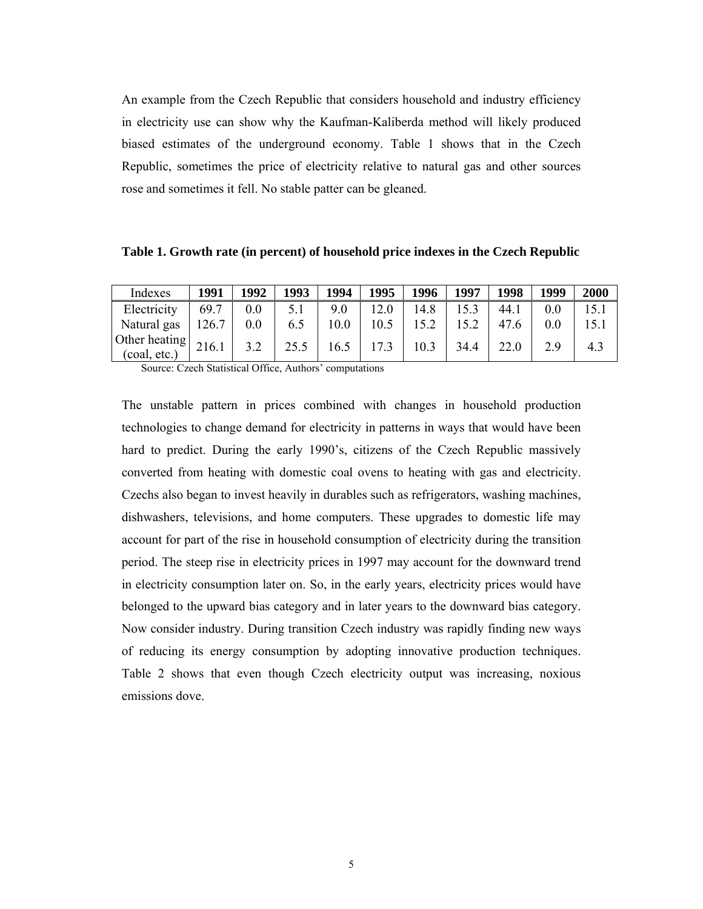An example from the Czech Republic that considers household and industry efficiency in electricity use can show why the Kaufman-Kaliberda method will likely produced biased estimates of the underground economy. Table 1 shows that in the Czech Republic, sometimes the price of electricity relative to natural gas and other sources rose and sometimes it fell. No stable patter can be gleaned.

| Table 1. Growth rate (in percent) of household price indexes in the Czech Republic |  |  |  |  |  |  |  |  |  |  |  |
|------------------------------------------------------------------------------------|--|--|--|--|--|--|--|--|--|--|--|
|------------------------------------------------------------------------------------|--|--|--|--|--|--|--|--|--|--|--|

| Indexes                                                                  | 1991  | 1992 | 1993 | 1994 | 1995 | 1996 | 1997 | 1998 | 1999 | 2000 |
|--------------------------------------------------------------------------|-------|------|------|------|------|------|------|------|------|------|
| Electricity                                                              | 69.7  | 0.0  |      | 9.0  | 12.0 | 14.8 |      | 44.1 | 0.0  |      |
| Natural gas                                                              | 126.7 | 0.0  | 6.5  | 10.0 | 10.5 |      |      | 47.6 | 0.0  | 15.1 |
| Other heating $\begin{array}{ c c }\n216.1\n\end{array}$<br>(coal, etc.) |       |      | 25.5 | 16.5 | 17.3 | 10.3 | 34.4 | 22.0 | 2.9  | 4.3  |

Source: Czech Statistical Office, Authors' computations

The unstable pattern in prices combined with changes in household production technologies to change demand for electricity in patterns in ways that would have been hard to predict. During the early 1990's, citizens of the Czech Republic massively converted from heating with domestic coal ovens to heating with gas and electricity. Czechs also began to invest heavily in durables such as refrigerators, washing machines, dishwashers, televisions, and home computers. These upgrades to domestic life may account for part of the rise in household consumption of electricity during the transition period. The steep rise in electricity prices in 1997 may account for the downward trend in electricity consumption later on. So, in the early years, electricity prices would have belonged to the upward bias category and in later years to the downward bias category. Now consider industry. During transition Czech industry was rapidly finding new ways of reducing its energy consumption by adopting innovative production techniques. Table 2 shows that even though Czech electricity output was increasing, noxious emissions dove.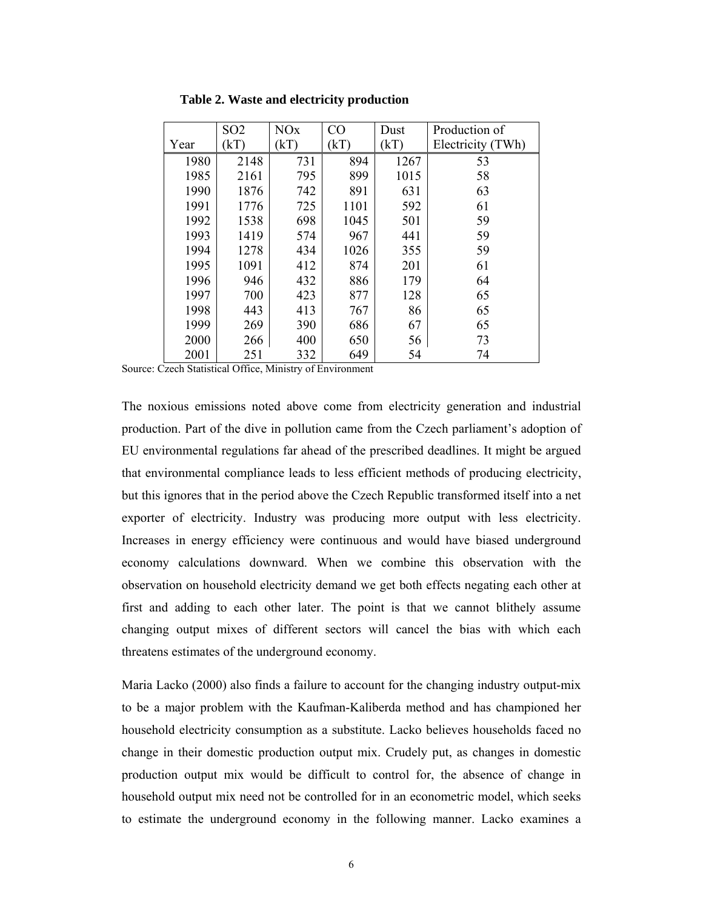|      | SO <sub>2</sub> | <b>NO<sub>x</sub></b> | CO   | Dust | Production of     |
|------|-----------------|-----------------------|------|------|-------------------|
| Year | kT              | (kT)                  | (kT) | (kT) | Electricity (TWh) |
| 1980 | 2148            | 731                   | 894  | 1267 | 53                |
| 1985 | 2161            | 795                   | 899  | 1015 | 58                |
| 1990 | 1876            | 742                   | 891  | 631  | 63                |
| 1991 | 1776            | 725                   | 1101 | 592  | 61                |
| 1992 | 1538            | 698                   | 1045 | 501  | 59                |
| 1993 | 1419            | 574                   | 967  | 441  | 59                |
| 1994 | 1278            | 434                   | 1026 | 355  | 59                |
| 1995 | 1091            | 412                   | 874  | 201  | 61                |
| 1996 | 946             | 432                   | 886  | 179  | 64                |
| 1997 | 700             | 423                   | 877  | 128  | 65                |
| 1998 | 443             | 413                   | 767  | 86   | 65                |
| 1999 | 269             | 390                   | 686  | 67   | 65                |
| 2000 | 266             | 400                   | 650  | 56   | 73                |
| 2001 | 251             | 332                   | 649  | 54   | 74                |

**Table 2. Waste and electricity production** 

Source: Czech Statistical Office, Ministry of Environment

The noxious emissions noted above come from electricity generation and industrial production. Part of the dive in pollution came from the Czech parliament's adoption of EU environmental regulations far ahead of the prescribed deadlines. It might be argued that environmental compliance leads to less efficient methods of producing electricity, but this ignores that in the period above the Czech Republic transformed itself into a net exporter of electricity. Industry was producing more output with less electricity. Increases in energy efficiency were continuous and would have biased underground economy calculations downward. When we combine this observation with the observation on household electricity demand we get both effects negating each other at first and adding to each other later. The point is that we cannot blithely assume changing output mixes of different sectors will cancel the bias with which each threatens estimates of the underground economy.

Maria Lacko (2000) also finds a failure to account for the changing industry output-mix to be a major problem with the Kaufman-Kaliberda method and has championed her household electricity consumption as a substitute. Lacko believes households faced no change in their domestic production output mix. Crudely put, as changes in domestic production output mix would be difficult to control for, the absence of change in household output mix need not be controlled for in an econometric model, which seeks to estimate the underground economy in the following manner. Lacko examines a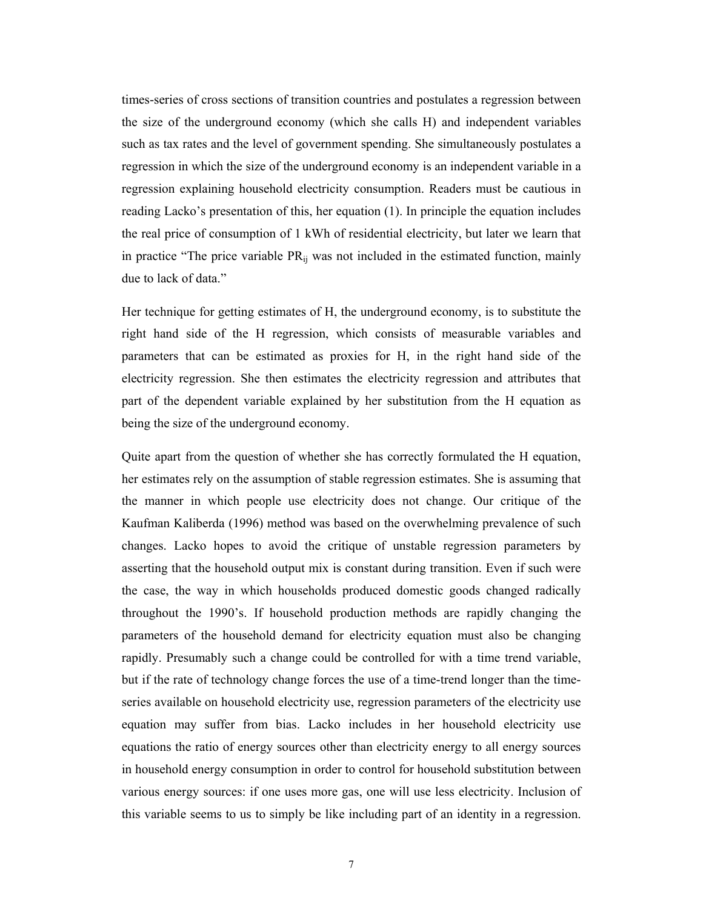times-series of cross sections of transition countries and postulates a regression between the size of the underground economy (which she calls H) and independent variables such as tax rates and the level of government spending. She simultaneously postulates a regression in which the size of the underground economy is an independent variable in a regression explaining household electricity consumption. Readers must be cautious in reading Lacko's presentation of this, her equation (1). In principle the equation includes the real price of consumption of 1 kWh of residential electricity, but later we learn that in practice "The price variable  $PR_{ij}$  was not included in the estimated function, mainly due to lack of data."

Her technique for getting estimates of H, the underground economy, is to substitute the right hand side of the H regression, which consists of measurable variables and parameters that can be estimated as proxies for H, in the right hand side of the electricity regression. She then estimates the electricity regression and attributes that part of the dependent variable explained by her substitution from the H equation as being the size of the underground economy.

Quite apart from the question of whether she has correctly formulated the H equation, her estimates rely on the assumption of stable regression estimates. She is assuming that the manner in which people use electricity does not change. Our critique of the Kaufman Kaliberda (1996) method was based on the overwhelming prevalence of such changes. Lacko hopes to avoid the critique of unstable regression parameters by asserting that the household output mix is constant during transition. Even if such were the case, the way in which households produced domestic goods changed radically throughout the 1990's. If household production methods are rapidly changing the parameters of the household demand for electricity equation must also be changing rapidly. Presumably such a change could be controlled for with a time trend variable, but if the rate of technology change forces the use of a time-trend longer than the timeseries available on household electricity use, regression parameters of the electricity use equation may suffer from bias. Lacko includes in her household electricity use equations the ratio of energy sources other than electricity energy to all energy sources in household energy consumption in order to control for household substitution between various energy sources: if one uses more gas, one will use less electricity. Inclusion of this variable seems to us to simply be like including part of an identity in a regression.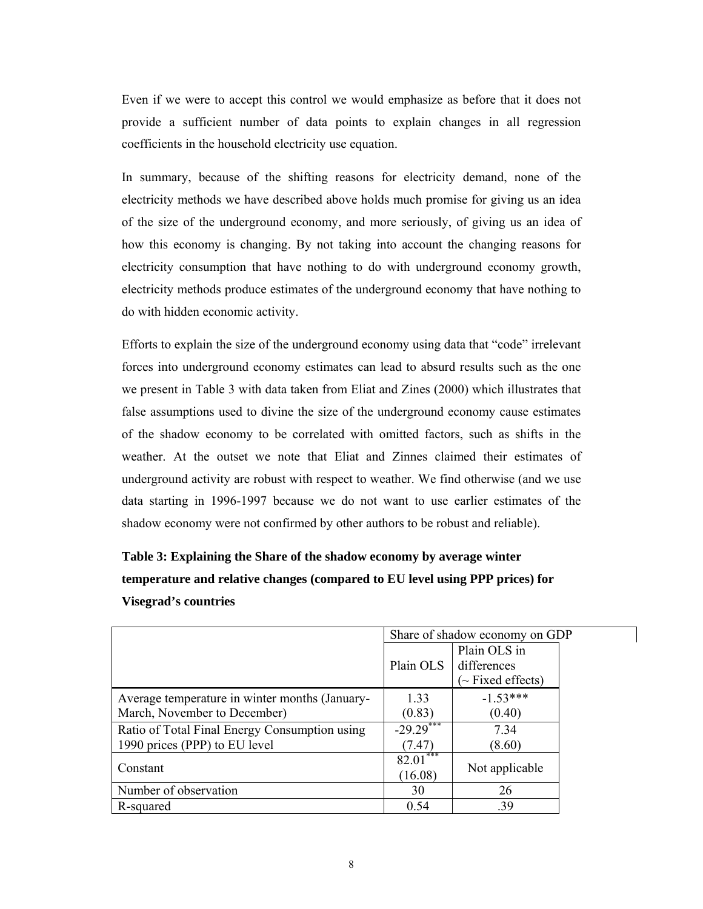Even if we were to accept this control we would emphasize as before that it does not provide a sufficient number of data points to explain changes in all regression coefficients in the household electricity use equation.

In summary, because of the shifting reasons for electricity demand, none of the electricity methods we have described above holds much promise for giving us an idea of the size of the underground economy, and more seriously, of giving us an idea of how this economy is changing. By not taking into account the changing reasons for electricity consumption that have nothing to do with underground economy growth, electricity methods produce estimates of the underground economy that have nothing to do with hidden economic activity.

Efforts to explain the size of the underground economy using data that "code" irrelevant forces into underground economy estimates can lead to absurd results such as the one we present in Table 3 with data taken from Eliat and Zines (2000) which illustrates that false assumptions used to divine the size of the underground economy cause estimates of the shadow economy to be correlated with omitted factors, such as shifts in the weather. At the outset we note that Eliat and Zinnes claimed their estimates of underground activity are robust with respect to weather. We find otherwise (and we use data starting in 1996-1997 because we do not want to use earlier estimates of the shadow economy were not confirmed by other authors to be robust and reliable).

# **Table 3: Explaining the Share of the shadow economy by average winter temperature and relative changes (compared to EU level using PPP prices) for Visegrad's countries**

|                                                | Share of shadow economy on GDP |                                                      |  |  |
|------------------------------------------------|--------------------------------|------------------------------------------------------|--|--|
|                                                | Plain OLS                      | Plain OLS in<br>differences<br>$\sim$ Fixed effects) |  |  |
| Average temperature in winter months (January- | 1.33                           | $-1.53***$                                           |  |  |
| March, November to December)                   | (0.83)                         | (0.40)                                               |  |  |
| Ratio of Total Final Energy Consumption using  | $-29.29***$                    | 7.34                                                 |  |  |
| 1990 prices (PPP) to EU level                  | (7.47)                         | (8.60)                                               |  |  |
| Constant                                       | ***<br>82.01<br>(16.08)        | Not applicable                                       |  |  |
| Number of observation                          | 30                             | 26                                                   |  |  |
| R-squared                                      | 0.54                           | .39                                                  |  |  |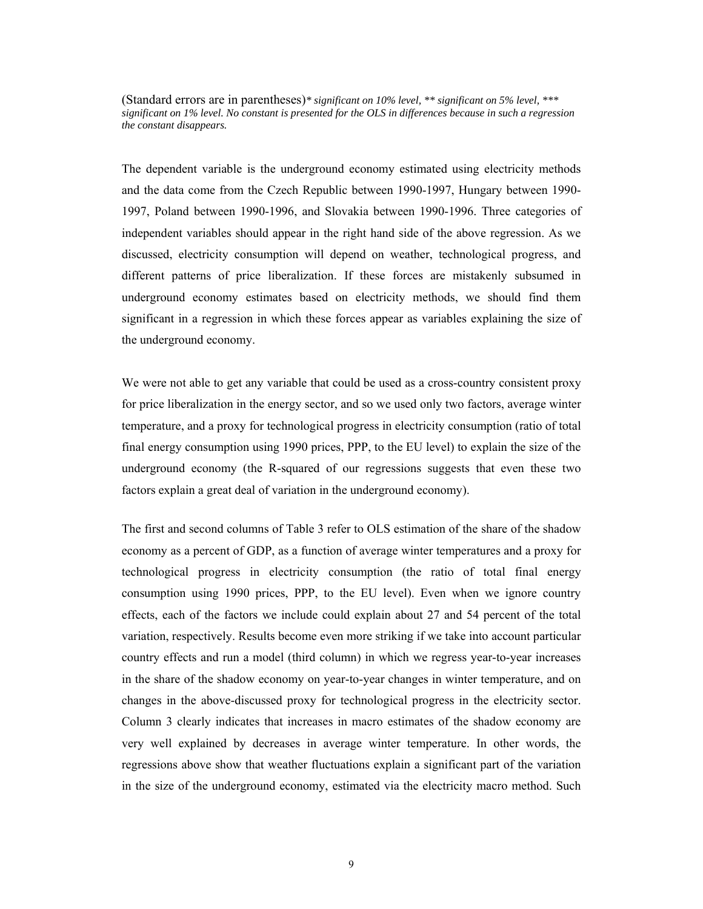(Standard errors are in parentheses)*\* significant on 10% level, \*\* significant on 5% level, \*\*\* significant on 1% level. No constant is presented for the OLS in differences because in such a regression the constant disappears.*

The dependent variable is the underground economy estimated using electricity methods and the data come from the Czech Republic between 1990-1997, Hungary between 1990- 1997, Poland between 1990-1996, and Slovakia between 1990-1996. Three categories of independent variables should appear in the right hand side of the above regression. As we discussed, electricity consumption will depend on weather, technological progress, and different patterns of price liberalization. If these forces are mistakenly subsumed in underground economy estimates based on electricity methods, we should find them significant in a regression in which these forces appear as variables explaining the size of the underground economy.

We were not able to get any variable that could be used as a cross-country consistent proxy for price liberalization in the energy sector, and so we used only two factors, average winter temperature, and a proxy for technological progress in electricity consumption (ratio of total final energy consumption using 1990 prices, PPP, to the EU level) to explain the size of the underground economy (the R-squared of our regressions suggests that even these two factors explain a great deal of variation in the underground economy).

The first and second columns of Table 3 refer to OLS estimation of the share of the shadow economy as a percent of GDP, as a function of average winter temperatures and a proxy for technological progress in electricity consumption (the ratio of total final energy consumption using 1990 prices, PPP, to the EU level). Even when we ignore country effects, each of the factors we include could explain about 27 and 54 percent of the total variation, respectively. Results become even more striking if we take into account particular country effects and run a model (third column) in which we regress year-to-year increases in the share of the shadow economy on year-to-year changes in winter temperature, and on changes in the above-discussed proxy for technological progress in the electricity sector. Column 3 clearly indicates that increases in macro estimates of the shadow economy are very well explained by decreases in average winter temperature. In other words, the regressions above show that weather fluctuations explain a significant part of the variation in the size of the underground economy, estimated via the electricity macro method. Such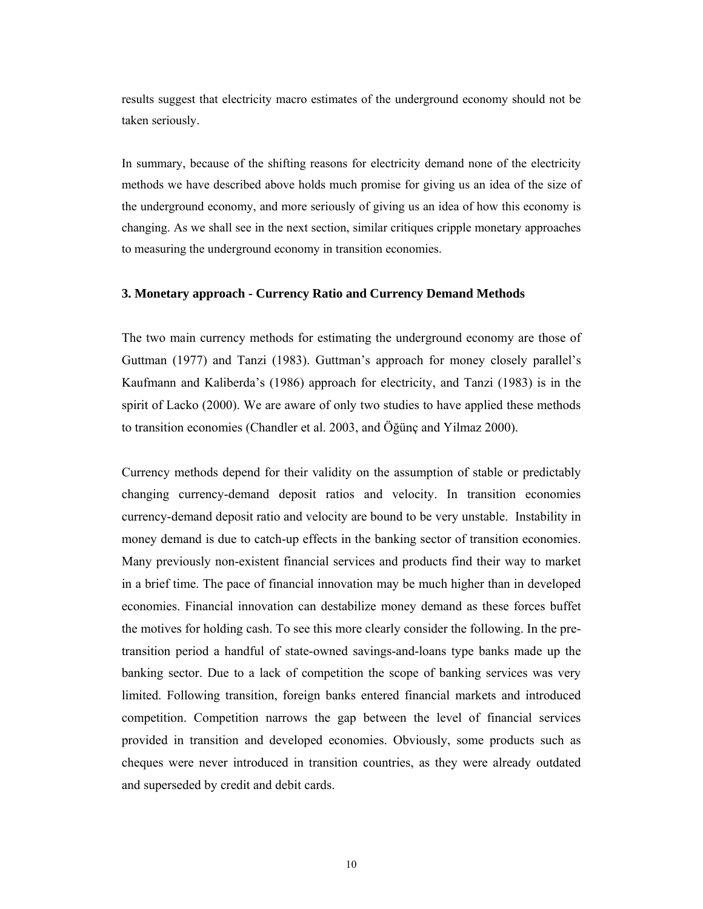results suggest that electricity macro estimates of the underground economy should not be taken seriously.

In summary, because of the shifting reasons for electricity demand none of the electricity methods we have described above holds much promise for giving us an idea of the size of the underground economy, and more seriously of giving us an idea of how this economy is changing. As we shall see in the next section, similar critiques cripple monetary approaches to measuring the underground economy in transition economies.

#### **3. Monetary approach - Currency Ratio and Currency Demand Methods**

The two main currency methods for estimating the underground economy are those of Guttman (1977) and Tanzi (1983). Guttman's approach for money closely parallel's Kaufmann and Kaliberda's (1986) approach for electricity, and Tanzi (1983) is in the spirit of Lacko (2000). We are aware of only two studies to have applied these methods to transition economies (Chandler et al. 2003, and Öğünç and Yilmaz 2000).

Currency methods depend for their validity on the assumption of stable or predictably changing currency-demand deposit ratios and velocity. In transition economies currency-demand deposit ratio and velocity are bound to be very unstable. Instability in money demand is due to catch-up effects in the banking sector of transition economies. Many previously non-existent financial services and products find their way to market in a brief time. The pace of financial innovation may be much higher than in developed economies. Financial innovation can destabilize money demand as these forces buffet the motives for holding cash. To see this more clearly consider the following. In the pretransition period a handful of state-owned savings-and-loans type banks made up the banking sector. Due to a lack of competition the scope of banking services was very limited. Following transition, foreign banks entered financial markets and introduced competition. Competition narrows the gap between the level of financial services provided in transition and developed economies. Obviously, some products such as cheques were never introduced in transition countries, as they were already outdated and superseded by credit and debit cards.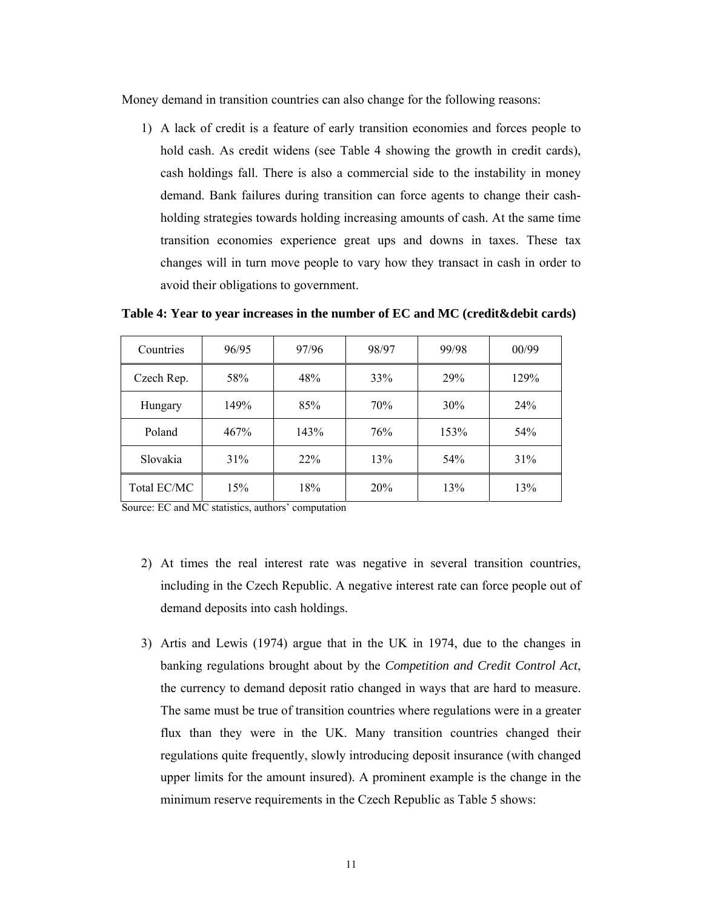Money demand in transition countries can also change for the following reasons:

1) A lack of credit is a feature of early transition economies and forces people to hold cash. As credit widens (see Table 4 showing the growth in credit cards), cash holdings fall. There is also a commercial side to the instability in money demand. Bank failures during transition can force agents to change their cashholding strategies towards holding increasing amounts of cash. At the same time transition economies experience great ups and downs in taxes. These tax changes will in turn move people to vary how they transact in cash in order to avoid their obligations to government.

| Countries   | 96/95 | 97/96  | 98/97 | 99/98 | 00/99 |
|-------------|-------|--------|-------|-------|-------|
| Czech Rep.  | 58%   | 48%    | 33%   | 29%   | 129%  |
| Hungary     | 149%  | 85%    | 70%   | 30%   | 24%   |
| Poland      | 467%  | 143%   | 76%   | 153%  | 54%   |
| Slovakia    | 31%   | $22\%$ | 13%   | 54%   | 31%   |
| Total EC/MC | 15%   | 18%    | 20%   | 13%   | 13%   |

**Table 4: Year to year increases in the number of EC and MC (credit&debit cards)** 

Source: EC and MC statistics, authors' computation

- 2) At times the real interest rate was negative in several transition countries, including in the Czech Republic. A negative interest rate can force people out of demand deposits into cash holdings.
- 3) Artis and Lewis (1974) argue that in the UK in 1974, due to the changes in banking regulations brought about by the *Competition and Credit Control Act*, the currency to demand deposit ratio changed in ways that are hard to measure. The same must be true of transition countries where regulations were in a greater flux than they were in the UK. Many transition countries changed their regulations quite frequently, slowly introducing deposit insurance (with changed upper limits for the amount insured). A prominent example is the change in the minimum reserve requirements in the Czech Republic as Table 5 shows: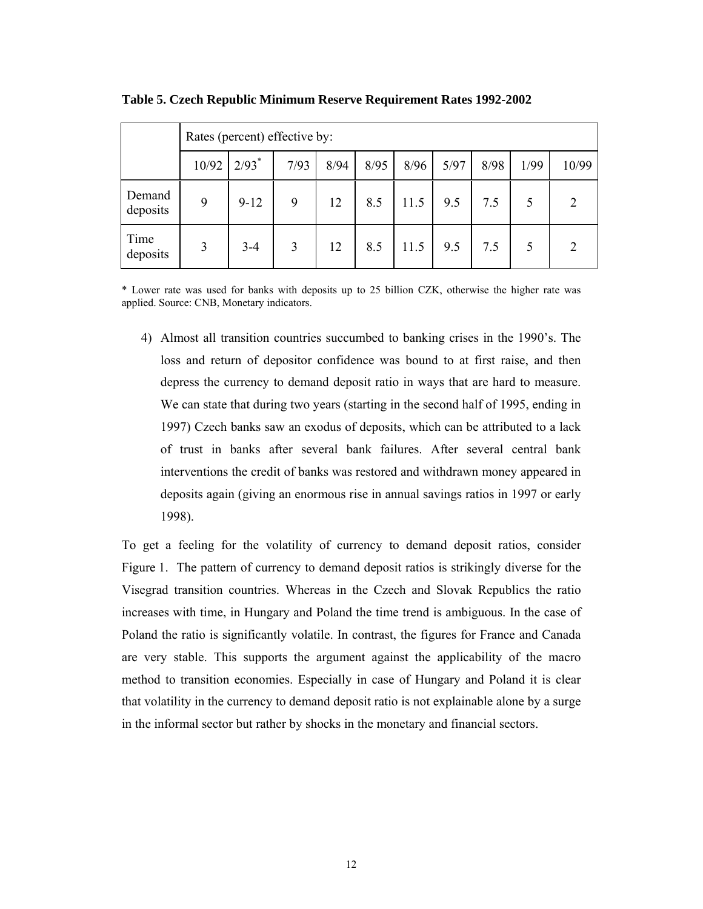|                    | Rates (percent) effective by: |                     |      |      |      |      |      |      |      |                |  |
|--------------------|-------------------------------|---------------------|------|------|------|------|------|------|------|----------------|--|
|                    | 10/92                         | $2/93$ <sup>*</sup> | 7/93 | 8/94 | 8/95 | 8/96 | 5/97 | 8/98 | 1/99 | 10/99          |  |
| Demand<br>deposits | 9                             | $9 - 12$            | 9    | 12   | 8.5  | 11.5 | 9.5  | 7.5  | 5    | $\overline{2}$ |  |
| Time<br>deposits   | 3                             | $3 - 4$             | 3    | 12   | 8.5  | 11.5 | 9.5  | 7.5  | 5    | $\overline{2}$ |  |

**Table 5. Czech Republic Minimum Reserve Requirement Rates 1992-2002** 

\* Lower rate was used for banks with deposits up to 25 billion CZK, otherwise the higher rate was applied. Source: CNB, Monetary indicators.

4) Almost all transition countries succumbed to banking crises in the 1990's. The loss and return of depositor confidence was bound to at first raise, and then depress the currency to demand deposit ratio in ways that are hard to measure. We can state that during two years (starting in the second half of 1995, ending in 1997) Czech banks saw an exodus of deposits, which can be attributed to a lack of trust in banks after several bank failures. After several central bank interventions the credit of banks was restored and withdrawn money appeared in deposits again (giving an enormous rise in annual savings ratios in 1997 or early 1998).

To get a feeling for the volatility of currency to demand deposit ratios, consider Figure 1. The pattern of currency to demand deposit ratios is strikingly diverse for the Visegrad transition countries. Whereas in the Czech and Slovak Republics the ratio increases with time, in Hungary and Poland the time trend is ambiguous. In the case of Poland the ratio is significantly volatile. In contrast, the figures for France and Canada are very stable. This supports the argument against the applicability of the macro method to transition economies. Especially in case of Hungary and Poland it is clear that volatility in the currency to demand deposit ratio is not explainable alone by a surge in the informal sector but rather by shocks in the monetary and financial sectors.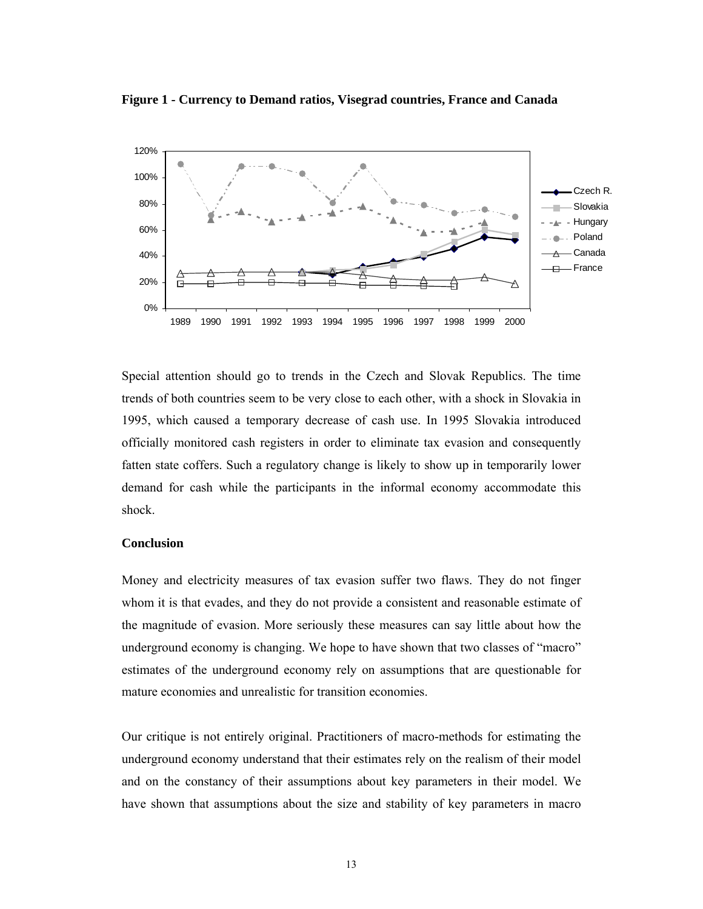**Figure 1 - Currency to Demand ratios, Visegrad countries, France and Canada** 



Special attention should go to trends in the Czech and Slovak Republics. The time trends of both countries seem to be very close to each other, with a shock in Slovakia in 1995, which caused a temporary decrease of cash use. In 1995 Slovakia introduced officially monitored cash registers in order to eliminate tax evasion and consequently fatten state coffers. Such a regulatory change is likely to show up in temporarily lower demand for cash while the participants in the informal economy accommodate this shock.

#### **Conclusion**

Money and electricity measures of tax evasion suffer two flaws. They do not finger whom it is that evades, and they do not provide a consistent and reasonable estimate of the magnitude of evasion. More seriously these measures can say little about how the underground economy is changing. We hope to have shown that two classes of "macro" estimates of the underground economy rely on assumptions that are questionable for mature economies and unrealistic for transition economies.

Our critique is not entirely original. Practitioners of macro-methods for estimating the underground economy understand that their estimates rely on the realism of their model and on the constancy of their assumptions about key parameters in their model. We have shown that assumptions about the size and stability of key parameters in macro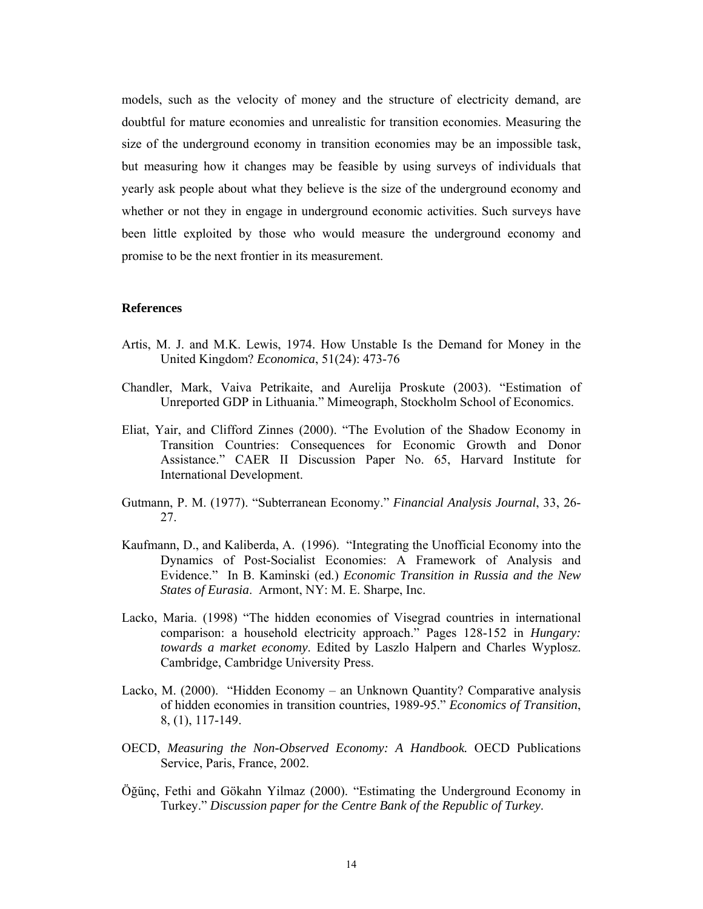models, such as the velocity of money and the structure of electricity demand, are doubtful for mature economies and unrealistic for transition economies. Measuring the size of the underground economy in transition economies may be an impossible task, but measuring how it changes may be feasible by using surveys of individuals that yearly ask people about what they believe is the size of the underground economy and whether or not they in engage in underground economic activities. Such surveys have been little exploited by those who would measure the underground economy and promise to be the next frontier in its measurement.

#### **References**

- Artis, M. J. and M.K. Lewis, 1974. How Unstable Is the Demand for Money in the United Kingdom? *Economica*, 51(24): 473-76
- Chandler, Mark, Vaiva Petrikaite, and Aurelija Proskute (2003). "Estimation of Unreported GDP in Lithuania." Mimeograph, Stockholm School of Economics.
- Eliat, Yair, and Clifford Zinnes (2000). "The Evolution of the Shadow Economy in Transition Countries: Consequences for Economic Growth and Donor Assistance." CAER II Discussion Paper No. 65, Harvard Institute for International Development.
- Gutmann, P. M. (1977). "Subterranean Economy." *Financial Analysis Journal*, 33, 26- 27.
- Kaufmann, D., and Kaliberda, A. (1996). "Integrating the Unofficial Economy into the Dynamics of Post-Socialist Economies: A Framework of Analysis and Evidence." In B. Kaminski (ed.) *Economic Transition in Russia and the New States of Eurasia*. Armont, NY: M. E. Sharpe, Inc.
- Lacko, Maria. (1998) "The hidden economies of Visegrad countries in international comparison: a household electricity approach." Pages 128-152 in *Hungary: towards a market economy*. Edited by Laszlo Halpern and Charles Wyplosz. Cambridge, Cambridge University Press.
- Lacko, M. (2000). "Hidden Economy an Unknown Quantity? Comparative analysis of hidden economies in transition countries, 1989-95." *Economics of Transition*, 8, (1), 117-149.
- OECD, *Measuring the Non-Observed Economy: A Handbook.* OECD Publications Service, Paris, France, 2002.
- Öğünç, Fethi and Gökahn Yilmaz (2000). "Estimating the Underground Economy in Turkey." *Discussion paper for the Centre Bank of the Republic of Turkey*.